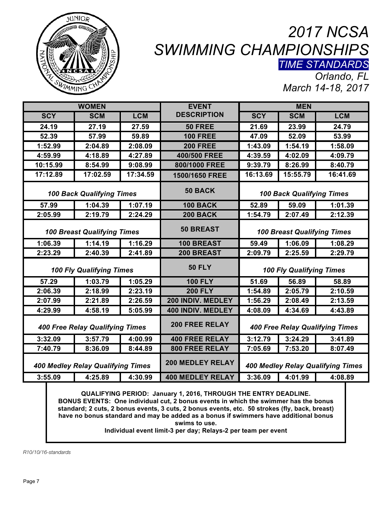

## *2017 NCSA SWIMMING CHAMPIONSHIPS TIME STANDARDS*

*Orlando, FL March 14-18, 2017*

| <b>WOMEN</b>                             |            |            | <b>EVENT</b>             | <b>MEN</b>                               |            |            |
|------------------------------------------|------------|------------|--------------------------|------------------------------------------|------------|------------|
| <b>SCY</b>                               | <b>SCM</b> | <b>LCM</b> | <b>DESCRIPTION</b>       | <b>SCY</b>                               | <b>SCM</b> | <b>LCM</b> |
| 24.19                                    | 27.19      | 27.59      | 50 FREE                  | 21.69                                    | 23.99      | 24.79      |
| 52.39                                    | 57.99      | 59.89      | <b>100 FREE</b>          | 47.09                                    | 52.09      | 53.99      |
| 1:52.99                                  | 2:04.89    | 2:08.09    | <b>200 FREE</b>          | 1:43.09                                  | 1:54.19    | 1:58.09    |
| 4:59.99                                  | 4:18.89    | 4:27.89    | 400/500 FREE             | 4:39.59                                  | 4:02.09    | 4:09.79    |
| 10:15.99                                 | 8:54.99    | 9:08.99    | 800/1000 FREE            | 9:39.79                                  | 8:26.99    | 8:40.79    |
| 17:12.89                                 | 17:02.59   | 17:34.59   | 1500/1650 FREE           | 16:13.69                                 | 15:55.79   | 16:41.69   |
| <b>100 Back Qualifying Times</b>         |            |            | 50 BACK                  | <b>100 Back Qualifying Times</b>         |            |            |
| 57.99                                    | 1:04.39    | 1:07.19    | <b>100 BACK</b>          | 52.89                                    | 59.09      | 1:01.39    |
| 2:05.99                                  | 2:19.79    | 2:24.29    | <b>200 BACK</b>          | 1:54.79                                  | 2:07.49    | 2:12.39    |
| <b>100 Breast Qualifying Times</b>       |            |            | <b>50 BREAST</b>         | <b>100 Breast Qualifying Times</b>       |            |            |
| 1:06.39                                  | 1:14.19    | 1:16.29    | 100 BREAST               | 59.49                                    | 1:06.09    | 1:08.29    |
| 2:23.29                                  | 2:40.39    | 2:41.89    | 200 BREAST               | 2:09.79                                  | 2:25.59    | 2:29.79    |
| <b>100 Fly Qualifying Times</b>          |            |            | <b>50 FLY</b>            | <b>100 Fly Qualifying Times</b>          |            |            |
| 57.29                                    | 1:03.79    | 1:05.29    | <b>100 FLY</b>           | 51.69                                    | 56.89      | 58.89      |
| 2:06.39                                  | 2:18.99    | 2:23.19    | <b>200 FLY</b>           | 1:54.89                                  | 2:05.79    | 2:10.59    |
| 2:07.99                                  | 2:21.89    | 2:26.59    | 200 INDIV. MEDLEY        | 1:56.29                                  | 2:08.49    | 2:13.59    |
| 4:29.99                                  | 4:58.19    | 5:05.99    | <b>400 INDIV. MEDLEY</b> | 4:08.09                                  | 4:34.69    | 4:43.89    |
| <b>400 Free Relay Qualifying Times</b>   |            |            | <b>200 FREE RELAY</b>    | <b>400 Free Relay Qualifying Times</b>   |            |            |
| 3:32.09                                  | 3:57.79    | 4:00.99    | <b>400 FREE RELAY</b>    | 3:12.79                                  | 3:24.29    | 3:41.89    |
| 7:40.79                                  | 8:36.09    | 8:44.89    | <b>800 FREE RELAY</b>    | 7:05.69                                  | 7:53.20    | 8:07.49    |
| <b>400 Medley Relay Qualifying Times</b> |            |            | <b>200 MEDLEY RELAY</b>  | <b>400 Medley Relay Qualifying Times</b> |            |            |
| 3:55.09                                  | 4:25.89    | 4:30.99    | <b>400 MEDLEY RELAY</b>  | 3:36.09                                  | 4:01.99    | 4:08.89    |

**QUALIFYING PERIOD: January 1, 2016, THROUGH THE ENTRY DEADLINE. BONUS EVENTS: One individual cut, 2 bonus events in which the swimmer has the bonus standard; 2 cuts, 2 bonus events, 3 cuts, 2 bonus events, etc. 50 strokes (fly, back, breast) have no bonus standard and may be added as a bonus if swimmers have additional bonus swims to use.**

**Individual event limit-3 per day; Relays-2 per team per event**

*R10/10/16-standards*